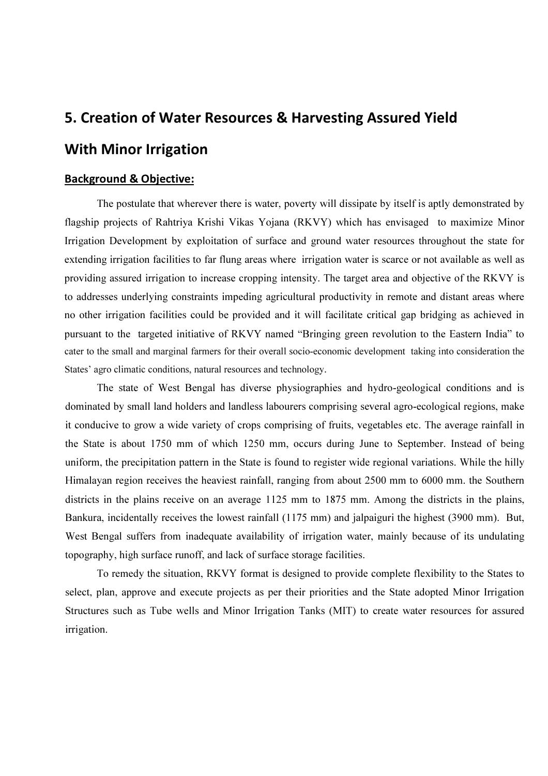# 5. Creation of Water Resources & Harvesting Assured Yield With Minor Irrigation

### Background & Objective:

The postulate that wherever there is water, poverty will dissipate by itself is aptly demonstrated by flagship projects of Rahtriya Krishi Vikas Yojana (RKVY) which has envisaged to maximize Minor Irrigation Development by exploitation of surface and ground water resources throughout the state for extending irrigation facilities to far flung areas where irrigation water is scarce or not available as well as providing assured irrigation to increase cropping intensity. The target area and objective of the RKVY is to addresses underlying constraints impeding agricultural productivity in remote and distant areas where no other irrigation facilities could be provided and it will facilitate critical gap bridging as achieved in pursuant to the targeted initiative of RKVY named "Bringing green revolution to the Eastern India" to cater to the small and marginal farmers for their overall socio-economic development taking into consideration the States' agro climatic conditions, natural resources and technology.

The state of West Bengal has diverse physiographies and hydro-geological conditions and is dominated by small land holders and landless labourers comprising several agro-ecological regions, make it conducive to grow a wide variety of crops comprising of fruits, vegetables etc. The average rainfall in the State is about 1750 mm of which 1250 mm, occurs during June to September. Instead of being uniform, the precipitation pattern in the State is found to register wide regional variations. While the hilly Himalayan region receives the heaviest rainfall, ranging from about 2500 mm to 6000 mm. the Southern districts in the plains receive on an average 1125 mm to 1875 mm. Among the districts in the plains, Bankura, incidentally receives the lowest rainfall (1175 mm) and jalpaiguri the highest (3900 mm). But, West Bengal suffers from inadequate availability of irrigation water, mainly because of its undulating topography, high surface runoff, and lack of surface storage facilities.

To remedy the situation, RKVY format is designed to provide complete flexibility to the States to select, plan, approve and execute projects as per their priorities and the State adopted Minor Irrigation Structures such as Tube wells and Minor Irrigation Tanks (MIT) to create water resources for assured irrigation.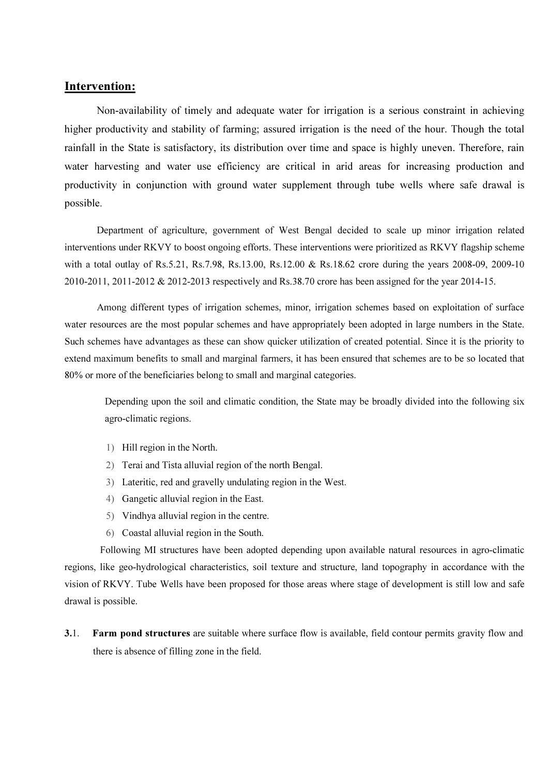# Intervention:

Non-availability of timely and adequate water for irrigation is a serious constraint in achieving higher productivity and stability of farming; assured irrigation is the need of the hour. Though the total rainfall in the State is satisfactory, its distribution over time and space is highly uneven. Therefore, rain water harvesting and water use efficiency are critical in arid areas for increasing production and productivity in conjunction with ground water supplement through tube wells where safe drawal is possible.

Department of agriculture, government of West Bengal decided to scale up minor irrigation related interventions under RKVY to boost ongoing efforts. These interventions were prioritized as RKVY flagship scheme with a total outlay of Rs.5.21, Rs.7.98, Rs.13.00, Rs.12.00 & Rs.18.62 crore during the years 2008-09, 2009-10 2010-2011, 2011-2012 & 2012-2013 respectively and Rs.38.70 crore has been assigned for the year 2014-15.

Among different types of irrigation schemes, minor, irrigation schemes based on exploitation of surface water resources are the most popular schemes and have appropriately been adopted in large numbers in the State. Such schemes have advantages as these can show quicker utilization of created potential. Since it is the priority to extend maximum benefits to small and marginal farmers, it has been ensured that schemes are to be so located that 80% or more of the beneficiaries belong to small and marginal categories.

Depending upon the soil and climatic condition, the State may be broadly divided into the following six agro-climatic regions.

- 1) Hill region in the North.
- 2) Terai and Tista alluvial region of the north Bengal.
- 3) Lateritic, red and gravelly undulating region in the West.
- 4) Gangetic alluvial region in the East.
- 5) Vindhya alluvial region in the centre.
- 6) Coastal alluvial region in the South.

Following MI structures have been adopted depending upon available natural resources in agro-climatic regions, like geo-hydrological characteristics, soil texture and structure, land topography in accordance with the vision of RKVY. Tube Wells have been proposed for those areas where stage of development is still low and safe drawal is possible.

3.1. Farm pond structures are suitable where surface flow is available, field contour permits gravity flow and there is absence of filling zone in the field.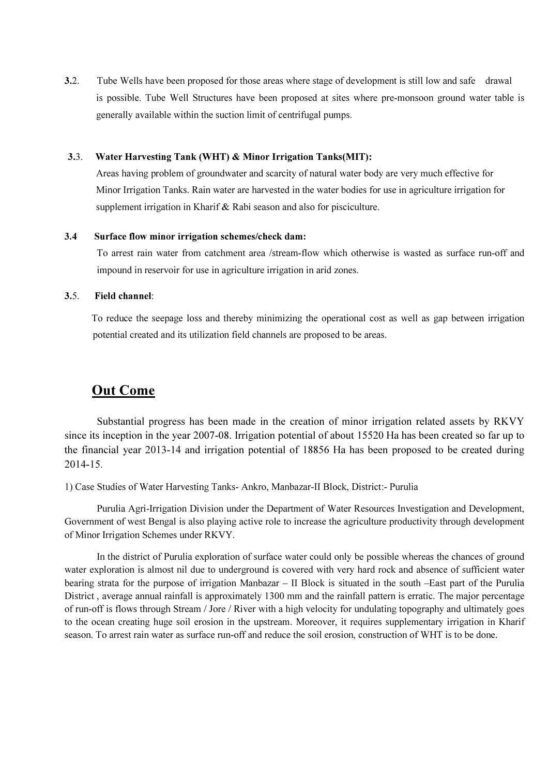3.2. Tube Wells have been proposed for those areas where stage of development is still low and safe drawal is possible. Tube Well Structures have been proposed at sites where pre-monsoon ground water table is generally available within the suction limit of centrifugal pumps.

#### 3.3. Water Harvesting Tank (WHT) & Minor Irrigation Tanks(MIT):

Areas having problem of groundwater and scarcity of natural water body are very much effective for Minor Irrigation Tanks. Rain water are harvested in the water bodies for use in agriculture irrigation for supplement irrigation in Kharif & Rabi season and also for pisciculture.

#### 3.4 Surface flow minor irrigation schemes/check dam:

To arrest rain water from catchment area /stream-flow which otherwise is wasted as surface run-off and impound in reservoir for use in agriculture irrigation in arid zones.

#### 3.5. Field channel:

 To reduce the seepage loss and thereby minimizing the operational cost as well as gap between irrigation potential created and its utilization field channels are proposed to be areas.

# Out Come

Substantial progress has been made in the creation of minor irrigation related assets by RKVY since its inception in the year 2007-08. Irrigation potential of about 15520 Ha has been created so far up to the financial year 2013-14 and irrigation potential of 18856 Ha has been proposed to be created during 2014-15.

1) Case Studies of Water Harvesting Tanks- Ankro, Manbazar-II Block, District:- Purulia

Purulia Agri-Irrigation Division under the Department of Water Resources Investigation and Development, Government of west Bengal is also playing active role to increase the agriculture productivity through development of Minor Irrigation Schemes under RKVY.

 In the district of Purulia exploration of surface water could only be possible whereas the chances of ground water exploration is almost nil due to underground is covered with very hard rock and absence of sufficient water bearing strata for the purpose of irrigation Manbazar – II Block is situated in the south –East part of the Purulia District , average annual rainfall is approximately 1300 mm and the rainfall pattern is erratic. The major percentage of run-off is flows through Stream / Jore / River with a high velocity for undulating topography and ultimately goes to the ocean creating huge soil erosion in the upstream. Moreover, it requires supplementary irrigation in Kharif season. To arrest rain water as surface run-off and reduce the soil erosion, construction of WHT is to be done.